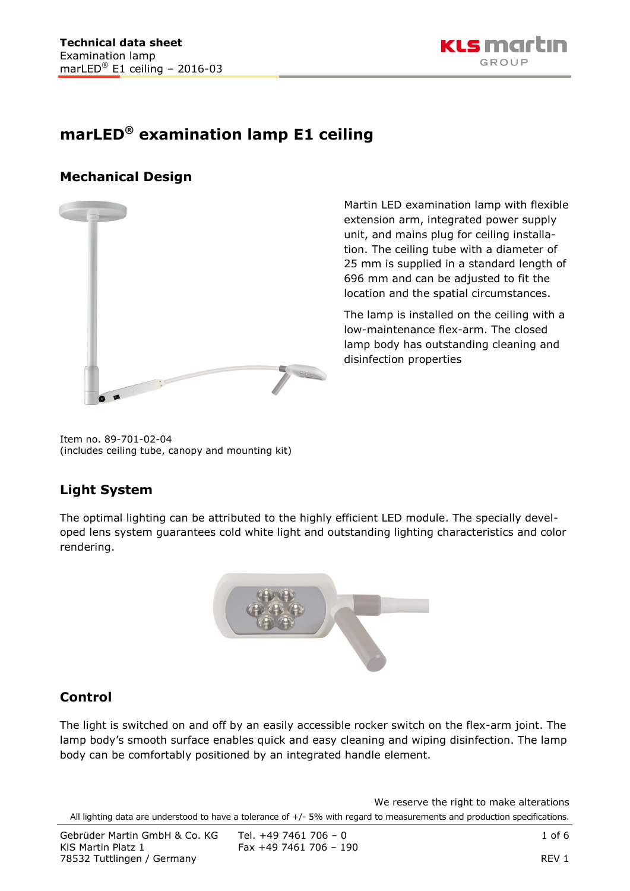

# **marLED® examination lamp E1 ceiling**

## **Mechanical Design**



Martin LED examination lamp with flexible extension arm, integrated power supply unit, and mains plug for ceiling installation. The ceiling tube with a diameter of 25 mm is supplied in a standard length of 696 mm and can be adjusted to fit the location and the spatial circumstances.

The lamp is installed on the ceiling with a low-maintenance flex-arm. The closed lamp body has outstanding cleaning and disinfection properties

Item no. 89-701-02-04 (includes ceiling tube, canopy and mounting kit)

## **Light System**

The optimal lighting can be attributed to the highly efficient LED module. The specially developed lens system guarantees cold white light and outstanding lighting characteristics and color rendering.



## **Control**

The light is switched on and off by an easily accessible rocker switch on the flex-arm joint. The lamp body's smooth surface enables quick and easy cleaning and wiping disinfection. The lamp body can be comfortably positioned by an integrated handle element.

We reserve the right to make alterations All lighting data are understood to have a tolerance of +/- 5% with regard to measurements and production specifications.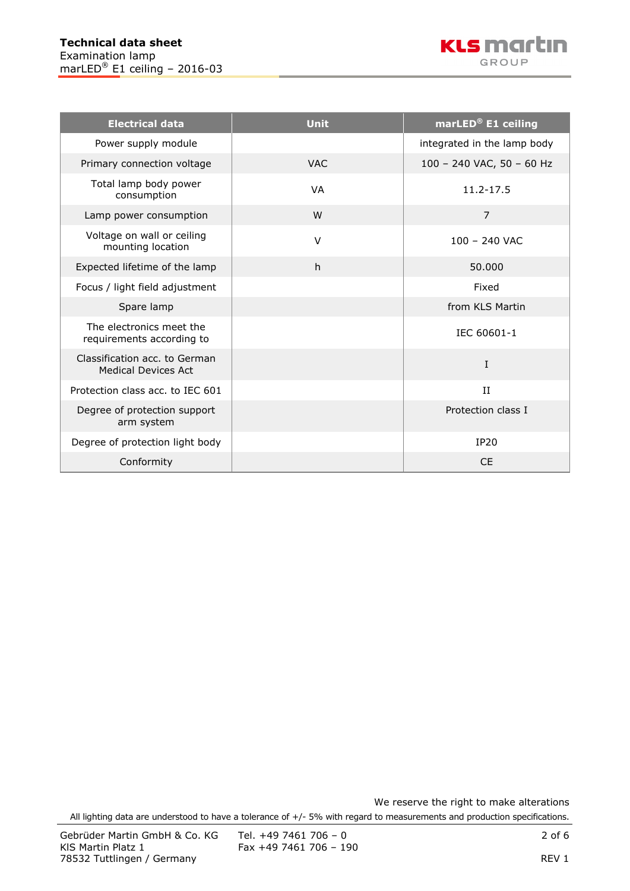| <b>Electrical data</b>                                      | <b>Unit</b> | marLED <sup>®</sup> E1 ceiling |  |  |
|-------------------------------------------------------------|-------------|--------------------------------|--|--|
| Power supply module                                         |             | integrated in the lamp body    |  |  |
| Primary connection voltage                                  | <b>VAC</b>  | 100 - 240 VAC, 50 - 60 Hz      |  |  |
| Total lamp body power<br>consumption                        | <b>VA</b>   | 11.2-17.5                      |  |  |
| Lamp power consumption                                      | W           | $\overline{7}$                 |  |  |
| Voltage on wall or ceiling<br>mounting location             | $\vee$      | $100 - 240$ VAC                |  |  |
| Expected lifetime of the lamp                               | h           | 50,000                         |  |  |
| Focus / light field adjustment                              |             | Fixed                          |  |  |
| Spare lamp                                                  |             | from KLS Martin                |  |  |
| The electronics meet the<br>requirements according to       |             | IEC 60601-1                    |  |  |
| Classification acc. to German<br><b>Medical Devices Act</b> |             | I                              |  |  |
| Protection class acc. to IEC 601                            |             | II                             |  |  |
| Degree of protection support<br>arm system                  |             | Protection class I             |  |  |
| Degree of protection light body                             |             | <b>IP20</b>                    |  |  |
| Conformity                                                  |             | <b>CE</b>                      |  |  |

We reserve the right to make alterations All lighting data are understood to have a tolerance of +/- 5% with regard to measurements and production specifications.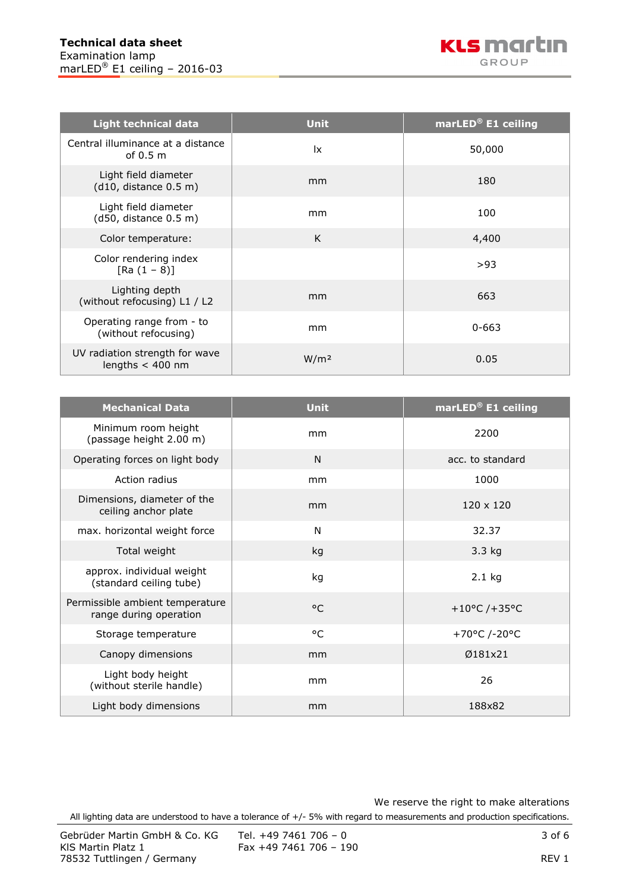| <b>Light technical data</b>                          | <b>Unit</b>      | marLED <sup>®</sup> E1 ceiling |  |
|------------------------------------------------------|------------------|--------------------------------|--|
| Central illuminance at a distance<br>of $0.5m$       | 1x               | 50,000                         |  |
| Light field diameter<br>(d10, distance 0.5 m)        | mm               | 180                            |  |
| Light field diameter<br>(d50, distance 0.5 m)        | mm               | 100                            |  |
| Color temperature:                                   | K                | 4,400                          |  |
| Color rendering index<br>$[Ra (1 - 8)]$              |                  | >93                            |  |
| Lighting depth<br>(without refocusing) L1 / L2       | mm               | 663                            |  |
| Operating range from - to<br>(without refocusing)    | mm               | $0 - 663$                      |  |
| UV radiation strength for wave<br>lengths $<$ 400 nm | W/m <sup>2</sup> | 0.05                           |  |

| <b>Mechanical Data</b>                                    | <b>Unit</b>  | marLED <sup>®</sup> E1 ceiling |  |
|-----------------------------------------------------------|--------------|--------------------------------|--|
| Minimum room height<br>(passage height 2.00 m)            | mm           | 2200                           |  |
| Operating forces on light body                            | N            | acc. to standard               |  |
| Action radius                                             | mm           | 1000                           |  |
| Dimensions, diameter of the<br>ceiling anchor plate       | mm           | $120 \times 120$               |  |
| max. horizontal weight force                              | N            | 32.37                          |  |
| Total weight                                              | kg           | 3.3 kg                         |  |
| approx. individual weight<br>(standard ceiling tube)      | kg           | $2.1$ kg                       |  |
| Permissible ambient temperature<br>range during operation | $^{\circ}$ C | +10°C /+35°C                   |  |
| Storage temperature                                       | °C           | +70°C /-20°C                   |  |
| Canopy dimensions                                         | mm           | Ø181x21                        |  |
| Light body height<br>(without sterile handle)             | mm           | 26                             |  |
| Light body dimensions                                     | mm           | 188x82                         |  |

We reserve the right to make alterations

All lighting data are understood to have a tolerance of +/- 5% with regard to measurements and production specifications.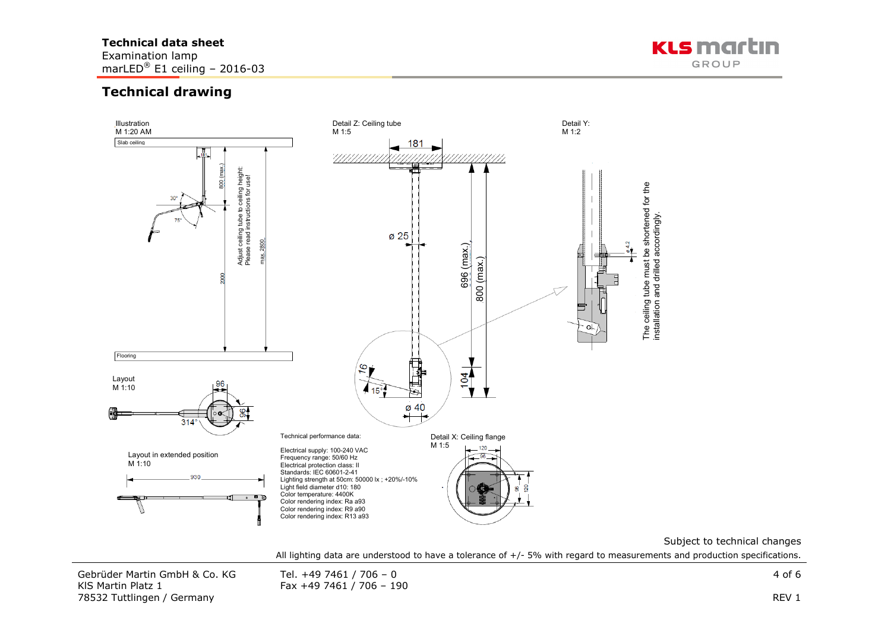#### **Technical data sheet**

Examination lamp marLED<sup>®</sup> E1 ceiling - 2016-03



## **Technical drawing**



Subject to technical changes

All lighting data are understood to have a tolerance of +/- 5% with regard to measurements and production specifications.

Gebrüder Martin GmbH & Co. KG Tel. +49 7461 / 706 – 0 4 of 6 4 of 6 4 of 6 4 of 6 4 of 6 4 of 6 4 of 6 4 of 6  $\frac{1}{2}$ KIS Martin Platz 1 Fax +49 7461 / 706 - 190 78532 Tuttlingen / Germany REV 1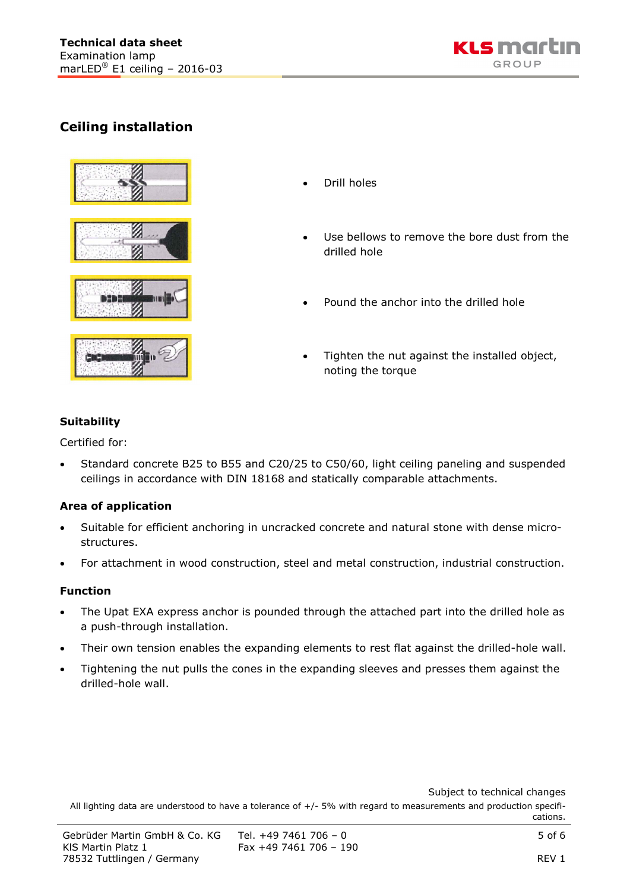

## **Ceiling installation**





- Drill holes
- Use bellows to remove the bore dust from the drilled hole
- Pound the anchor into the drilled hole
- Tighten the nut against the installed object, noting the torque

### **Suitability**

Certified for:

• Standard concrete B25 to B55 and C20/25 to C50/60, light ceiling paneling and suspended ceilings in accordance with DIN 18168 and statically comparable attachments.

### **Area of application**

- Suitable for efficient anchoring in uncracked concrete and natural stone with dense microstructures.
- For attachment in wood construction, steel and metal construction, industrial construction.

### **Function**

- The Upat EXA express anchor is pounded through the attached part into the drilled hole as a push-through installation.
- Their own tension enables the expanding elements to rest flat against the drilled-hole wall.
- Tightening the nut pulls the cones in the expanding sleeves and presses them against the drilled-hole wall.

Subject to technical changes

All lighting data are understood to have a tolerance of  $+/-$  5% with regard to measurements and production specifications.